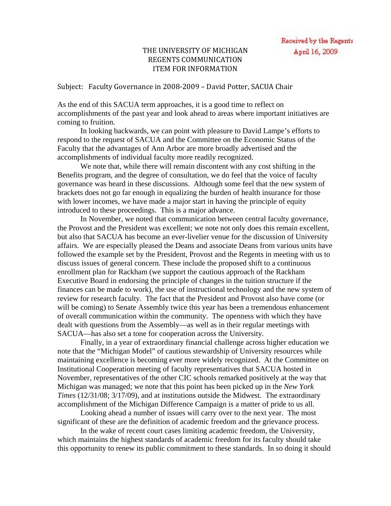## THE UNIVERSITY OF MICHIGAN REGENTS COMMUNICATION ITEM FOR INFORMATION

Subject: Faculty Governance in 2008‐2009 – David Potter, SACUA Chair

As the end of this SACUA term approaches, it is a good time to reflect on accomplishments of the past year and look ahead to areas where important initiatives are coming to fruition.

In looking backwards, we can point with pleasure to David Lampe's efforts to respond to the request of SACUA and the Committee on the Economic Status of the Faculty that the advantages of Ann Arbor are more broadly advertised and the accomplishments of individual faculty more readily recognized.

We note that, while there will remain discontent with any cost shifting in the Benefits program, and the degree of consultation, we do feel that the voice of faculty governance was heard in these discussions. Although some feel that the new system of brackets does not go far enough in equalizing the burden of health insurance for those with lower incomes, we have made a major start in having the principle of equity introduced to these proceedings. This is a major advance.

In November, we noted that communication between central faculty governance, the Provost and the President was excellent; we note not only does this remain excellent, but also that SACUA has become an ever-livelier venue for the discussion of University affairs. We are especially pleased the Deans and associate Deans from various units have followed the example set by the President, Provost and the Regents in meeting with us to discuss issues of general concern. These include the proposed shift to a continuous enrollment plan for Rackham (we support the cautious approach of the Rackham Executive Board in endorsing the principle of changes in the tuition structure if the finances can be made to work), the use of instructional technology and the new system of review for research faculty. The fact that the President and Provost also have come (or will be coming) to Senate Assembly twice this year has been a tremendous enhancement of overall communication within the community. The openness with which they have dealt with questions from the Assembly—as well as in their regular meetings with SACUA—has also set a tone for cooperation across the University.

Finally, in a year of extraordinary financial challenge across higher education we note that the "Michigan Model" of cautious stewardship of University resources while maintaining excellence is becoming ever more widely recognized. At the Committee on Institutional Cooperation meeting of faculty representatives that SACUA hosted in November, representatives of the other CIC schools remarked positively at the way that Michigan was managed; we note that this point has been picked up in the *New York Times* (12/31/08; 3/17/09), and at institutions outside the Midwest. The extraordinary accomplishment of the Michigan Difference Campaign is a matter of pride to us all.

 Looking ahead a number of issues will carry over to the next year. The most significant of these are the definition of academic freedom and the grievance process.

 In the wake of recent court cases limiting academic freedom, the University, which maintains the highest standards of academic freedom for its faculty should take this opportunity to renew its public commitment to these standards. In so doing it should